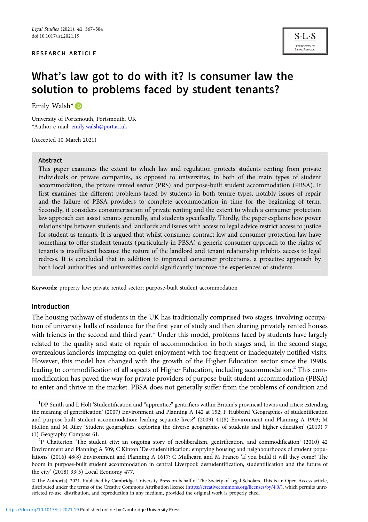#### RESEARCH ARTICLE



# What's law got to do with it? Is consumer law the solution to problems faced by student tenants?

Emily Walsh<sup>\*</sup>

University of Portsmouth, Portsmouth, UK \*Author e-mail: [emily.walsh@port.ac.uk](mailto:emily.walsh@port.ac.uk)

(Accepted 10 March 2021)

#### Abstract

This paper examines the extent to which law and regulation protects students renting from private individuals or private companies, as opposed to universities, in both of the main types of student accommodation, the private rented sector (PRS) and purpose-built student accommodation (PBSA). It first examines the different problems faced by students in both tenure types, notably issues of repair and the failure of PBSA providers to complete accommodation in time for the beginning of term. Secondly, it considers consumerisation of private renting and the extent to which a consumer protection law approach can assist tenants generally, and students specifically. Thirdly, the paper explains how power relationships between students and landlords and issues with access to legal advice restrict access to justice for student as tenants. It is argued that whilst consumer contract law and consumer protection law have something to offer student tenants (particularly in PBSA) a generic consumer approach to the rights of tenants is insufficient because the nature of the landlord and tenant relationship inhibits access to legal redress. It is concluded that in addition to improved consumer protections, a proactive approach by both local authorities and universities could significantly improve the experiences of students.

Keywords: property law; private rented sector; purpose-built student accommodation

#### Introduction

The housing pathway of students in the UK has traditionally comprised two stages, involving occupation of university halls of residence for the first year of study and then sharing privately rented houses with friends in the second and third year.<sup>1</sup> Under this model, problems faced by students have largely related to the quality and state of repair of accommodation in both stages and, in the second stage, overzealous landlords impinging on quiet enjoyment with too frequent or inadequately notified visits. However, this model has changed with the growth of the Higher Education sector since the 1990s, leading to commodification of all aspects of Higher Education, including accommodation.<sup>2</sup> This commodification has paved the way for private providers of purpose-built student accommodation (PBSA) to enter and thrive in the market. PBSA does not generally suffer from the problems of condition and

<sup>&</sup>lt;sup>1</sup>DP Smith and L Holt 'Studentification and "apprentice" gentrifiers within Britain's provincial towns and cities: extending the meaning of gentrification' (2007) Environment and Planning A 142 at 152; P Hubbard 'Geographies of studentification and purpose-built student accommodation: leading separate lives?' (2009) 41(8) Environment and Planning A 1903; M Holton and M Riley 'Student geographies: exploring the diverse geographies of students and higher education' (2013) 7 (1) Geography Compass 61.

<sup>&</sup>lt;sup>2</sup>P Chatterton 'The student city: an ongoing story of neoliberalism, gentrification, and commodification' (2010) 42 Environment and Planning A 509; C Kinton 'De-studenitification: emptying housing and neighbourhoods of student populations' (2016) 48(8) Environment and Planning A 1617; C Mulhearn and M Franco 'If you build it will they come? The boom in purpose-built student accommodation in central Liverpool: destudentification, studentification and the future of the city' (2018) 33(5) Local Economy 477.

<sup>©</sup> The Author(s), 2021. Published by Cambridge University Press on behalf of The Society of Legal Scholars. This is an Open Access article, distributed under the terms of the Creative Commons Attribution licence [\(https://creativecommons.org/licenses/by/4.0/\)](https://creativecommons.org/licenses/by/4.0/), which permits unrestricted re-use, distribution, and reproduction in any medium, provided the original work is properly cited.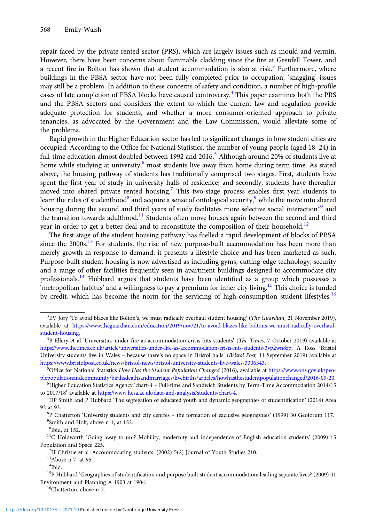repair faced by the private rented sector (PRS), which are largely issues such as mould and vermin. However, there have been concerns about flammable cladding since the fire at Grenfell Tower, and a recent fire in Bolton has shown that student accommodation is also at risk.<sup>3</sup> Furthermore, where buildings in the PBSA sector have not been fully completed prior to occupation, 'snagging' issues may still be a problem. In addition to these concerns of safety and condition, a number of high-profile cases of late completion of PBSA blocks have caused controversy.<sup>4</sup> This paper examines both the PRS and the PBSA sectors and considers the extent to which the current law and regulation provide adequate protection for students, and whether a more consumer-oriented approach to private tenancies, as advocated by the Government and the Law Commission, would alleviate some of the problems.

Rapid growth in the Higher Education sector has led to significant changes in how student cities are occupied. According to the Office for National Statistics, the number of young people (aged 18–24) in full-time education almost doubled between 1992 and 2016.<sup>5</sup> Although around 20% of students live at home while studying at university, $6 \text{ most students live away from home during term time. As stated}$ above, the housing pathway of students has traditionally comprised two stages. First, students have spent the first year of study in university halls of residence; and secondly, students have thereafter moved into shared private rented housing.<sup>7</sup> This two-stage process enables first year students to learn the rules of studenthood<sup>8</sup> and acquire a sense of ontological security, $9$  while the move into shared housing during the second and third years of study facilitates more selective social interaction<sup>10</sup> and the transition towards adulthood.<sup>11</sup> Students often move houses again between the second and third year in order to get a better deal and to reconstitute the composition of their household.<sup>12</sup>

The first stage of the student housing pathway has fuelled a rapid development of blocks of PBSA since the 2000s.<sup>13</sup> For students, the rise of new purpose-built accommodation has been more than merely growth in response to demand; it presents a lifestyle choice and has been marketed as such. Purpose-built student housing is now advertised as including gyms, cutting-edge technology, security and a range of other facilities frequently seen in apartment buildings designed to accommodate city professionals.<sup>14</sup> Hubbard argues that students have been identified as a group which possesses a 'metropolitan habitus' and a willingness to pay a premium for inner city living.<sup>15</sup> This choice is funded by credit, which has become the norm for the servicing of high-consumption student lifestyles.<sup>16</sup>

<sup>&</sup>lt;sup>3</sup>EV Jory 'To avoid blazes like Bolton's, we must radically overhaul student housing' (The Guardian, 21 November 2019), available at [https://www.theguardian.com/education/2019/nov/21/to-avoid-blazes-like-boltons-we-must-radically-overhaul](https://www.theguardian.com/education/2019/nov/21/to-avoid-blazes-like-boltons-we-must-radically-overhaul-student-housing)[student-housing.](https://www.theguardian.com/education/2019/nov/21/to-avoid-blazes-like-boltons-we-must-radically-overhaul-student-housing) <sup>4</sup>

 ${}^{4}B$  Ellery et al 'Universities under fire as accommodation crisis hits students' (The Times, 7 October 2019) available at [https://www.thetimes.co.uk/article/universities-under-fire-as-accommodation-crisis-hits-students-3vp2wn8zp;](https://www.thetimes.co.uk/article/universities-under-fire-as-accommodation-crisis-hits-students-3vp2wn8zp) A Ross 'Bristol University students live in Wales – because there's no space in Bristol halls' (Bristol Post, 11 September 2019) available at [https://www.bristolpost.co.uk/news/bristol-news/bristol-university-students-live-wales-3306343.](https://www.bristolpost.co.uk/news/bristol-news/bristol-university-students-live-wales-3306343) <sup>5</sup>

<sup>&</sup>lt;sup>5</sup>Office for National Statistics How Has the Student Population Changed (2016), available at [https://www.ons.gov.uk/peo](https://www.ons.gov.uk/peoplepopulationandcommunity/birthsdeathsandmarriages/livebirths/articles/howhasthestudentpopulationchanged/2016-09-20)[plepopulationandcommunity/birthsdeathsandmarriages/livebirths/articles/howhasthestudentpopulationchanged/2016-09-20](https://www.ons.gov.uk/peoplepopulationandcommunity/birthsdeathsandmarriages/livebirths/articles/howhasthestudentpopulationchanged/2016-09-20). <sup>6</sup>

<sup>&</sup>lt;sup>6</sup>Higher Education Statistics Agency 'chart-4 – Full-time and Sandwich Students by Term-Time Accommodation 2014/15 to 2017/18' available at <https://www.hesa.ac.uk/data-and-analysis/students/chart-4>.

 $7$ DP Smith and P Hubbard 'The segregation of educated youth and dynamic geographies of studentification' (2014) Area 92 at 93.

 ${}^{8}P$  Chatterton 'University students and city centres – the formation of exclusive geographies' (1999) 30 Geoforum 117. <sup>9</sup>Smith and Holt, above n 1, at 152.

 $10$ Ibid, at 152.

<sup>&</sup>lt;sup>11</sup>C Holdworth 'Going away to uni? Mobility, modernity and independence of English education students' (2009) 15 Population and Space 225. 12H Christie et al 'Accommodating students' (2002) 5(2) Journal of Youth Studies 210. 13Above n 7, at 95.

<sup>14</sup>Ibid.

<sup>&</sup>lt;sup>15</sup>P Hubbard 'Geographies of studentification and purpose built student accommodation: leading separate lives? (2009) 41 Environment and Planning A 1903 at 1904.<br><sup>16</sup>Chatterton, above n 2.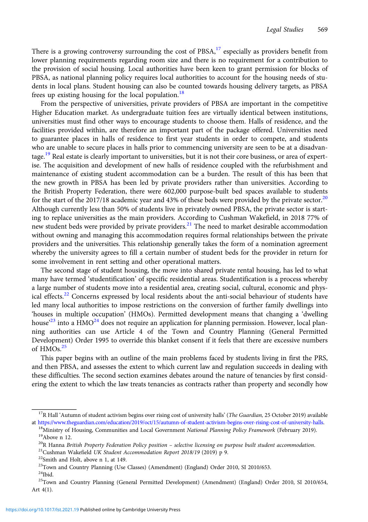There is a growing controversy surrounding the cost of PBSA,<sup>17</sup> especially as providers benefit from lower planning requirements regarding room size and there is no requirement for a contribution to the provision of social housing. Local authorities have been keen to grant permission for blocks of PBSA, as national planning policy requires local authorities to account for the housing needs of students in local plans. Student housing can also be counted towards housing delivery targets, as PBSA frees up existing housing for the local population.<sup>18</sup>

From the perspective of universities, private providers of PBSA are important in the competitive Higher Education market. As undergraduate tuition fees are virtually identical between institutions, universities must find other ways to encourage students to choose them. Halls of residence, and the facilities provided within, are therefore an important part of the package offered. Universities need to guarantee places in halls of residence to first year students in order to compete, and students who are unable to secure places in halls prior to commencing university are seen to be at a disadvantage.<sup>19</sup> Real estate is clearly important to universities, but it is not their core business, or area of expertise. The acquisition and development of new halls of residence coupled with the refurbishment and maintenance of existing student accommodation can be a burden. The result of this has been that the new growth in PBSA has been led by private providers rather than universities. According to the British Property Federation, there were 602,000 purpose-built bed spaces available to students for the start of the 2017/18 academic year and 43% of these beds were provided by the private sector.<sup>20</sup> Although currently less than 50% of students live in privately owned PBSA, the private sector is starting to replace universities as the main providers. According to Cushman Wakefield, in 2018 77% of new student beds were provided by private providers.<sup>21</sup> The need to market desirable accommodation without owning and managing this accommodation requires formal relationships between the private providers and the universities. This relationship generally takes the form of a nomination agreement whereby the university agrees to fill a certain number of student beds for the provider in return for some involvement in rent setting and other operational matters.

The second stage of student housing, the move into shared private rental housing, has led to what many have termed 'studentification' of specific residential areas. Studentification is a process whereby a large number of students move into a residential area, creating social, cultural, economic and physical effects.<sup>22</sup> Concerns expressed by local residents about the anti-social behaviour of students have led many local authorities to impose restrictions on the conversion of further family dwellings into 'houses in multiple occupation' (HMOs). Permitted development means that changing a 'dwelling house<sup>223</sup> into a HMO<sup>24</sup> does not require an application for planning permission. However, local planning authorities can use Article 4 of the Town and Country Planning (General Permitted Development) Order 1995 to override this blanket consent if it feels that there are excessive numbers of  $HMOs.<sup>25</sup>$ 

This paper begins with an outline of the main problems faced by students living in first the PRS, and then PBSA, and assesses the extent to which current law and regulation succeeds in dealing with these difficulties. The second section examines debates around the nature of tenancies by first considering the extent to which the law treats tenancies as contracts rather than property and secondly how

<sup>&</sup>lt;sup>17</sup>R Hall 'Autumn of student activism begins over rising cost of university halls' (The Guardian, 25 October 2019) available

at <https://www.theguardian.com/education/2019/oct/15/autumn-of-student-activism-begins-over-rising-cost-of-university-halls>.<br><sup>18</sup>Ministry of Housing, Communities and Local Government National Planning Policy Framework (Feb

<sup>&</sup>lt;sup>20</sup>R Hanna *British Property Federation Policy position – selective licensing on purpose built student accommodation.* <sup>21</sup>Cushman Wakefield *UK Student Accommodation Report 2018/19* (2019) p 9. <sup>22</sup>Smith and Holt, above

<sup>23</sup>Town and Country Planning (Use Classes) (Amendment) (England) Order 2010, SI 2010/653.

 $24$ Ibid.

<sup>25</sup>Town and Country Planning (General Permitted Development) (Amendment) (England) Order 2010, SI 2010/654, Art 4(1).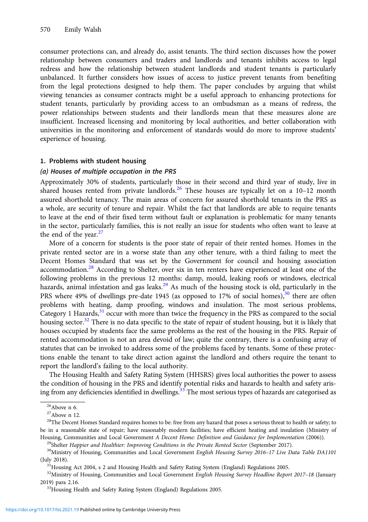consumer protections can, and already do, assist tenants. The third section discusses how the power relationship between consumers and traders and landlords and tenants inhibits access to legal redress and how the relationship between student landlords and student tenants is particularly unbalanced. It further considers how issues of access to justice prevent tenants from benefiting from the legal protections designed to help them. The paper concludes by arguing that whilst viewing tenancies as consumer contracts might be a useful approach to enhancing protections for student tenants, particularly by providing access to an ombudsman as a means of redress, the power relationships between students and their landlords mean that these measures alone are insufficient. Increased licensing and monitoring by local authorities, and better collaboration with universities in the monitoring and enforcement of standards would do more to improve students' experience of housing.

#### 1. Problems with student housing

#### (a) Houses of multiple occupation in the PRS

Approximately 30% of students, particularly those in their second and third year of study, live in shared houses rented from private landlords.<sup>26</sup> These houses are typically let on a 10–12 month assured shorthold tenancy. The main areas of concern for assured shorthold tenants in the PRS as a whole, are security of tenure and repair. Whilst the fact that landlords are able to require tenants to leave at the end of their fixed term without fault or explanation is problematic for many tenants in the sector, particularly families, this is not really an issue for students who often want to leave at the end of the year.<sup>27</sup>

More of a concern for students is the poor state of repair of their rented homes. Homes in the private rented sector are in a worse state than any other tenure, with a third failing to meet the Decent Homes Standard that was set by the Government for council and housing association accommodation.<sup>28</sup> According to Shelter, over six in ten renters have experienced at least one of the following problems in the previous 12 months: damp, mould, leaking roofs or windows, electrical hazards, animal infestation and gas leaks.<sup>29</sup> As much of the housing stock is old, particularly in the PRS where 49% of dwellings pre-date 1945 (as opposed to 17% of social homes), $30$  there are often problems with heating, damp proofing, windows and insulation. The most serious problems, Category 1 Hazards, $31$  occur with more than twice the frequency in the PRS as compared to the social housing sector.<sup>32</sup> There is no data specific to the state of repair of student housing, but it is likely that houses occupied by students face the same problems as the rest of the housing in the PRS. Repair of rented accommodation is not an area devoid of law; quite the contrary, there is a confusing array of statutes that can be invoked to address some of the problems faced by tenants. Some of these protections enable the tenant to take direct action against the landlord and others require the tenant to report the landlord's failing to the local authority.

The Housing Health and Safety Rating System (HHSRS) gives local authorities the power to assess the condition of housing in the PRS and identify potential risks and hazards to health and safety arising from any deficiencies identified in dwellings.<sup>33</sup> The most serious types of hazards are categorised as

 $\rm ^{26}Above$ n 6.

 $27$ Above n 12.

<sup>&</sup>lt;sup>28</sup>The Decent Homes Standard requires homes to be: free from any hazard that poses a serious threat to health or safety; to be in a reasonable state of repair; have reasonably modern facilities; have efficient heating and insulation (Ministry of Housing, Communities and Local Government A Decent Home: Definition and Guidance for Implementation (2006)).<br><sup>29</sup>Shelter Happier and Healthier: Improving Conditions in the Private Rented Sector (September 2017).<br><sup>30</sup>Minist

<sup>(</sup>July 2018). 31Housing Act 2004, s 2 and Housing Health and Safety Rating System (England) Regulations 2005.

<sup>&</sup>lt;sup>32</sup>Ministry of Housing, Communities and Local Government English Housing Survey Headline Report 2017-18 (January 2019) para 2.16.<br> $33H$ ousing Health and Safety Rating System (England) Regulations 2005.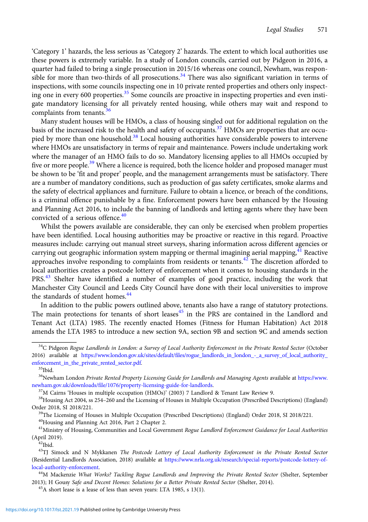'Category 1' hazards, the less serious as 'Category 2' hazards. The extent to which local authorities use these powers is extremely variable. In a study of London councils, carried out by Pidgeon in 2016, a quarter had failed to bring a single prosecution in 2015/16 whereas one council, Newham, was responsible for more than two-thirds of all prosecutions.<sup>34</sup> There was also significant variation in terms of inspections, with some councils inspecting one in 10 private rented properties and others only inspecting one in every 600 properties.<sup>35</sup> Some councils are proactive in inspecting properties and even instigate mandatory licensing for all privately rented housing, while others may wait and respond to complaints from tenants.<sup>36</sup>

Many student houses will be HMOs, a class of housing singled out for additional regulation on the basis of the increased risk to the health and safety of occupants.<sup>37</sup> HMOs are properties that are occupied by more than one household.<sup>38</sup> Local housing authorities have considerable powers to intervene where HMOs are unsatisfactory in terms of repair and maintenance. Powers include undertaking work where the manager of an HMO fails to do so. Mandatory licensing applies to all HMOs occupied by five or more people.<sup>39</sup> Where a licence is required, both the licence holder and proposed manager must be shown to be 'fit and proper' people, and the management arrangements must be satisfactory. There are a number of mandatory conditions, such as production of gas safety certificates, smoke alarms and the safety of electrical appliances and furniture. Failure to obtain a licence, or breach of the conditions, is a criminal offence punishable by a fine. Enforcement powers have been enhanced by the Housing and Planning Act 2016, to include the banning of landlords and letting agents where they have been convicted of a serious offence.<sup>40</sup>

Whilst the powers available are considerable, they can only be exercised when problem properties have been identified. Local housing authorities may be proactive or reactive in this regard. Proactive measures include: carrying out manual street surveys, sharing information across different agencies or carrying out geographic information system mapping or thermal imagining aerial mapping,  $41$  Reactive approaches involve responding to complaints from residents or tenants.<sup>42</sup> The discretion afforded to local authorities creates a postcode lottery of enforcement when it comes to housing standards in the PRS.<sup>43</sup> Shelter have identified a number of examples of good practice, including the work that Manchester City Council and Leeds City Council have done with their local universities to improve the standards of student homes.<sup>44</sup>

In addition to the public powers outlined above, tenants also have a range of statutory protections. The main protections for tenants of short leases<sup>45</sup> in the PRS are contained in the Landlord and Tenant Act (LTA) 1985. The recently enacted Homes (Fitness for Human Habitation) Act 2018 amends the LTA 1985 to introduce a new section 9A, section 9B and section 9C and amends section

40Housing and Planning Act 2016, Part 2 Chapter 2.

<sup>&</sup>lt;sup>34</sup>C Pidgeon Rogue Landlords in London: a Survey of Local Authority Enforcement in the Private Rented Sector (October 2016) available at [https://www.london.gov.uk/sites/default/files/rogue\\_landlords\\_in\\_london\\_-\\_a\\_survey\\_of\\_local\\_authority\\_](https://www.london.gov.uk/sites/default/files/rogue_landlords_in_london_-_a_survey_of_local_authority_enforcement_in_the_private_rented_sector.pdf) [enforcement\\_in\\_the\\_private\\_rented\\_sector.pdf.](https://www.london.gov.uk/sites/default/files/rogue_landlords_in_london_-_a_survey_of_local_authority_enforcement_in_the_private_rented_sector.pdf) 35Ibid.

<sup>&</sup>lt;sup>36</sup>Newham London Private Rented Property Licensing Guide for Landlords and Managing Agents available at [https://www.](https://www.newham.gov.uk/downloads/file/1076/property-licensing-guide-for-landlords) [newham.gov.uk/downloads/file/1076/property-licensing-guide-for-landlords.](https://www.newham.gov.uk/downloads/file/1076/property-licensing-guide-for-landlords)<br><sup>37</sup>M Cairns 'Houses in multiple occupation (HMOs)' (2003) 7 Landlord & Tenant Law Review 9.<br><sup>38</sup>Housing Act 2004, ss 254–260 and the Licensing of

Order 2018, SI 2018/221.<br><sup>39</sup>The Licensing of Houses in Multiple Occupation (Prescribed Descriptions) (England) Order 2018, SI 2018/221.

<sup>&</sup>lt;sup>41</sup>Ministry of Housing, Communities and Local Government Rogue Landlord Enforcement Guidance for Local Authorities  $(Apiril 2019).$ <sup>42</sup>Ibid.

<sup>&</sup>lt;sup>43</sup>TJ Simock and N Mykkanen The Postcode Lottery of Local Authority Enforcement in the Private Rented Sector (Residential Landlords Association, 2018) available at [https://www.nrla.org.uk/research/special-reports/postcode-lottery-of](https://www.nrla.org.uk/research/special-reports/postcode-lottery-of-local-authority-enforcement)[local-authority-enforcement](https://www.nrla.org.uk/research/special-reports/postcode-lottery-of-local-authority-enforcement).<br><sup>44</sup>M Mackenzie What Works? Tackling Rogue Landlords and Improving the Private Rented Sector (Shelter, September

<sup>2013);</sup> H Gousy Safe and Decent Homes: Solutions for a Better Private Rented Sector (Shelter, 2014).<br><sup>45</sup>A short lease is a lease of less than seven years: LTA 1985, s 13(1).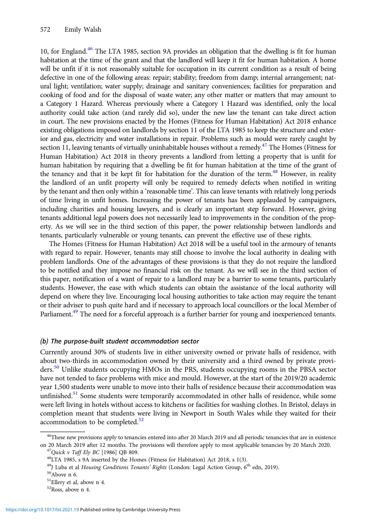10, for England.<sup>46</sup> The LTA 1985, section 9A provides an obligation that the dwelling is fit for human habitation at the time of the grant and that the landlord will keep it fit for human habitation. A home will be unfit if it is not reasonably suitable for occupation in its current condition as a result of being defective in one of the following areas: repair; stability; freedom from damp; internal arrangement; natural light; ventilation; water supply; drainage and sanitary conveniences; facilities for preparation and cooking of food and for the disposal of waste water; any other matter or matters that may amount to a Category 1 Hazard. Whereas previously where a Category 1 Hazard was identified, only the local authority could take action (and rarely did so), under the new law the tenant can take direct action in court. The new provisions enacted by the Homes (Fitness for Human Habitation) Act 2018 enhance existing obligations imposed on landlords by section 11 of the LTA 1985 to keep the structure and exterior and gas, electricity and water installations in repair. Problems such as mould were rarely caught by section 11, leaving tenants of virtually uninhabitable houses without a remedy.<sup>47</sup> The Homes (Fitness for Human Habitation) Act 2018 in theory prevents a landlord from letting a property that is unfit for human habitation by requiring that a dwelling be fit for human habitation at the time of the grant of the tenancy and that it be kept fit for habitation for the duration of the term.<sup>48</sup> However, in reality the landlord of an unfit property will only be required to remedy defects when notified in writing by the tenant and then only within a 'reasonable time'. This can leave tenants with relatively long periods of time living in unfit homes. Increasing the power of tenants has been applauded by campaigners, including charities and housing lawyers, and is clearly an important step forward. However, giving tenants additional legal powers does not necessarily lead to improvements in the condition of the property. As we will see in the third section of this paper, the power relationship between landlords and tenants, particularly vulnerable or young tenants, can prevent the effective use of these rights.

The Homes (Fitness for Human Habitation) Act 2018 will be a useful tool in the armoury of tenants with regard to repair. However, tenants may still choose to involve the local authority in dealing with problem landlords. One of the advantages of these provisions is that they do not require the landlord to be notified and they impose no financial risk on the tenant. As we will see in the third section of this paper, notification of a want of repair to a landlord may be a barrier to some tenants, particularly students. However, the ease with which students can obtain the assistance of the local authority will depend on where they live. Encouraging local housing authorities to take action may require the tenant or their adviser to push quite hard and if necessary to approach local councillors or the local Member of Parliament.<sup>49</sup> The need for a forceful approach is a further barrier for young and inexperienced tenants.

## (b) The purpose-built student accommodation sector

Currently around 30% of students live in either university owned or private halls of residence, with about two-thirds in accommodation owned by their university and a third owned by private providers.<sup>50</sup> Unlike students occupying HMOs in the PRS, students occupying rooms in the PBSA sector have not tended to face problems with mice and mould. However, at the start of the 2019/20 academic year 1,500 students were unable to move into their halls of residence because their accommodation was unfinished.<sup>51</sup> Some students were temporarily accommodated in other halls of residence, while some were left living in hotels without access to kitchens or facilities for washing clothes. In Bristol, delays in completion meant that students were living in Newport in South Wales while they waited for their accommodation to be completed.<sup>52</sup>

<sup>&</sup>lt;sup>46</sup>These new provisions apply to tenancies entered into after 20 March 2019 and all periodic tenancies that are in existence on 20 March 2019 after 12 months. The provisions will therefore apply to most applicable tenancies by 20 March 2020.<br><sup>47</sup>Quick v Taff Ely BC [1986] QB 809.<br><sup>48</sup>LTA 1985, s 9A inserted by the Homes (Fitness for Habitation)

<sup>&</sup>lt;sup>49</sup>J Luba et al Housing Conditions Tenants' Rights (London: Legal Action Group, 6<sup>th</sup> edn, 2019).<br><sup>50</sup>Above n 6.

<sup>51</sup>Ellery et al, above n 4.

<sup>52</sup>Ross, above n 4.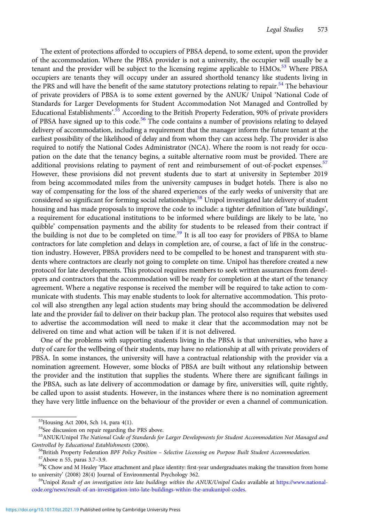The extent of protections afforded to occupiers of PBSA depend, to some extent, upon the provider of the accommodation. Where the PBSA provider is not a university, the occupier will usually be a tenant and the provider will be subject to the licensing regime applicable to HMOs.<sup>53</sup> Where PBSA occupiers are tenants they will occupy under an assured shorthold tenancy like students living in the PRS and will have the benefit of the same statutory protections relating to repair.<sup>54</sup> The behaviour of private providers of PBSA is to some extent governed by the ANUK/ Unipol 'National Code of Standards for Larger Developments for Student Accommodation Not Managed and Controlled by Educational Establishments'.<sup>55</sup> According to the British Property Federation, 90% of private providers of PBSA have signed up to this code.<sup>56</sup> The code contains a number of provisions relating to delayed delivery of accommodation, including a requirement that the manager inform the future tenant at the earliest possibility of the likelihood of delay and from whom they can access help. The provider is also required to notify the National Codes Administrator (NCA). Where the room is not ready for occupation on the date that the tenancy begins, a suitable alternative room must be provided. There are additional provisions relating to payment of rent and reimbursement of out-of-pocket expenses.<sup>57</sup> However, these provisions did not prevent students due to start at university in September 2019 from being accommodated miles from the university campuses in budget hotels. There is also no way of compensating for the loss of the shared experiences of the early weeks of university that are considered so significant for forming social relationships.<sup>58</sup> Unipol investigated late delivery of student housing and has made proposals to improve the code to include: a tighter definition of 'late buildings', a requirement for educational institutions to be informed where buildings are likely to be late, 'no quibble' compensation payments and the ability for students to be released from their contract if the building is not due to be completed on time.<sup>59</sup> It is all too easy for providers of PBSA to blame contractors for late completion and delays in completion are, of course, a fact of life in the construction industry. However, PBSA providers need to be compelled to be honest and transparent with students where contractors are clearly not going to complete on time. Unipol has therefore created a new protocol for late developments. This protocol requires members to seek written assurances from developers and contractors that the accommodation will be ready for completion at the start of the tenancy agreement. Where a negative response is received the member will be required to take action to communicate with students. This may enable students to look for alternative accommodation. This protocol will also strengthen any legal action students may bring should the accommodation be delivered late and the provider fail to deliver on their backup plan. The protocol also requires that websites used to advertise the accommodation will need to make it clear that the accommodation may not be delivered on time and what action will be taken if it is not delivered.

One of the problems with supporting students living in the PBSA is that universities, who have a duty of care for the wellbeing of their students, may have no relationship at all with private providers of PBSA. In some instances, the university will have a contractual relationship with the provider via a nomination agreement. However, some blocks of PBSA are built without any relationship between the provider and the institution that supplies the students. Where there are significant failings in the PBSA, such as late delivery of accommodation or damage by fire, universities will, quite rightly, be called upon to assist students. However, in the instances where there is no nomination agreement they have very little influence on the behaviour of the provider or even a channel of communication.

<sup>53</sup>Housing Act 2004, Sch 14, para 4(1).

<sup>&</sup>lt;sup>54</sup>See discussion on repair regarding the PRS above.

<sup>55</sup>ANUK/Unipol The National Code of Standards for Larger Developments for Student Accommodation Not Managed and

Controlled by Educational Establishments (2006).<br><sup>56</sup>British Property Federation *BPF Policy Position – Selective Licensing on Purpose Built Student Accommodation*.<br><sup>57</sup>Above n 55, paras 3.7–3.9.<br><sup>58</sup>K Chow and M Healey '

to university' (2008) 28(4) Journal of Environmental Psychology 362.<br><sup>59</sup>Unipol Result of an investigation into late buildings within the ANUK/Unipol Codes available at [https://www.national-](https://www.nationalcode.org/news/result-of-an-investigation-into-late-buildings-within-the-anukunipol-codes)

[code.org/news/result-of-an-investigation-into-late-buildings-within-the-anukunipol-codes.](https://www.nationalcode.org/news/result-of-an-investigation-into-late-buildings-within-the-anukunipol-codes)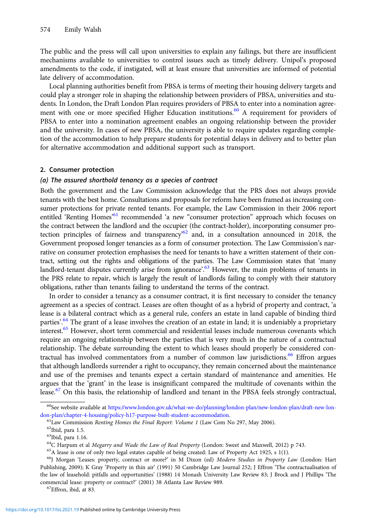The public and the press will call upon universities to explain any failings, but there are insufficient mechanisms available to universities to control issues such as timely delivery. Unipol's proposed amendments to the code, if instigated, will at least ensure that universities are informed of potential late delivery of accommodation.

Local planning authorities benefit from PBSA is terms of meeting their housing delivery targets and could play a stronger role in shaping the relationship between providers of PBSA, universities and students. In London, the Draft London Plan requires providers of PBSA to enter into a nomination agreement with one or more specified Higher Education institutions.<sup>60</sup> A requirement for providers of PBSA to enter into a nomination agreement enables an ongoing relationship between the provider and the university. In cases of new PBSA, the university is able to require updates regarding completion of the accommodation to help prepare students for potential delays in delivery and to better plan for alternative accommodation and additional support such as transport.

#### 2. Consumer protection

## (a) The assured shorthold tenancy as a species of contract

Both the government and the Law Commission acknowledge that the PRS does not always provide tenants with the best home. Consultations and proposals for reform have been framed as increasing consumer protections for private rented tenants. For example, the Law Commission in their 2006 report entitled 'Renting Homes'<sup>61</sup> recommended 'a new "consumer protection" approach which focuses on the contract between the landlord and the occupier (the contract-holder), incorporating consumer protection principles of fairness and transparency<sup>62</sup> and, in a consultation announced in 2018, the Government proposed longer tenancies as a form of consumer protection. The Law Commission's narrative on consumer protection emphasises the need for tenants to have a written statement of their contract, setting out the rights and obligations of the parties. The Law Commission states that 'many landlord-tenant disputes currently arise from ignorance'.<sup>63</sup> However, the main problems of tenants in the PRS relate to repair, which is largely the result of landlords failing to comply with their statutory obligations, rather than tenants failing to understand the terms of the contract.

In order to consider a tenancy as a consumer contract, it is first necessary to consider the tenancy agreement as a species of contract. Leases are often thought of as a hybrid of property and contract, 'a lease is a bilateral contract which as a general rule, confers an estate in land capable of binding third parties'.<sup>64</sup> The grant of a lease involves the creation of an estate in land; it is undeniably a proprietary interest.<sup>65</sup> However, short term commercial and residential leases include numerous covenants which require an ongoing relationship between the parties that is very much in the nature of a contractual relationship. The debate surrounding the extent to which leases should properly be considered contractual has involved commentators from a number of common law jurisdictions.<sup>66</sup> Effron argues that although landlords surrender a right to occupancy, they remain concerned about the maintenance and use of the premises and tenants expect a certain standard of maintenance and amenities. He argues that the 'grant' in the lease is insignificant compared the multitude of covenants within the lease.<sup>67</sup> On this basis, the relationship of landlord and tenant in the PBSA feels strongly contractual,

<sup>&</sup>lt;sup>60</sup>See website available at [https://www.london.gov.uk/what-we-do/planning/london-plan/new-london-plan/draft-new-lon](https://www.london.gov.uk/what-we-do/planning/london-plan/new-london-plan/draft-new-london-plan/chapter-4-housing/policy-h17-purpose-built-student-accommodation)[don-plan/chapter-4-housing/policy-h17-purpose-built-student-accommodation.](https://www.london.gov.uk/what-we-do/planning/london-plan/new-london-plan/draft-new-london-plan/chapter-4-housing/policy-h17-purpose-built-student-accommodation)<br><sup>61</sup>Law Commission *Renting Homes the Final Report: Volume 1* (Law Com No 297, May 2006).<br><sup>62</sup>Ibid, para 1.5.

 $^{63}$ Ibid, para 1.16.<br> $^{64}$ C Harpum et al *Megarry and Wade the Law of Real Property* (London: Sweet and Maxwell, 2012) p 743.

 $65A$  lease is one of only two legal estates capable of being created: Law of Property Act 1925, s 1(1).

<sup>66</sup>J Morgan 'Leases: property, contract or more?' in M Dixon (ed) Modern Studies in Property Law (London: Hart Publishing, 2009); K Gray 'Property in thin air' (1991) 50 Cambridge Law Journal 252; J Effron 'The contractualisation of the law of leasehold: pitfalls and opportunities' (1988) 14 Monash University Law Review 83; J Brock and J Phillips 'The commercial lease: property or contract?' (2001) 38 Atlanta Law Review 989. 67Effron, ibid, at 83.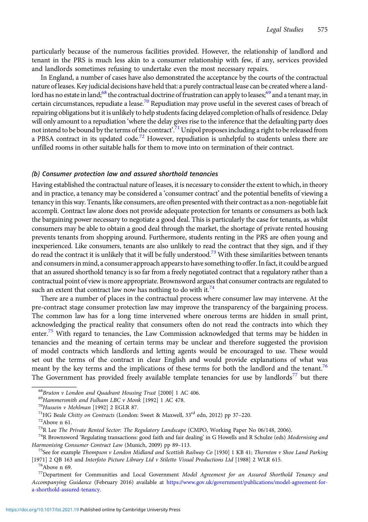particularly because of the numerous facilities provided. However, the relationship of landlord and tenant in the PRS is much less akin to a consumer relationship with few, if any, services provided and landlords sometimes refusing to undertake even the most necessary repairs.

In England, a number of cases have also demonstrated the acceptance by the courts of the contractual nature of leases. Key judicial decisions have held that: a purely contractual lease can be created where a landlord has no estate in land;<sup>68</sup> the contractual doctrine of frustration can apply to leases;<sup>69</sup> and a tenant may, in certain circumstances, repudiate a lease.<sup>70</sup> Repudiation may prove useful in the severest cases of breach of repairing obligations but it is unlikely to help students facing delayed completion of halls of residence. Delay will only amount to a repudiation 'where the delay gives rise to the inference that the defaulting party does not intend to be bound by the terms of the contract'.<sup>71</sup> Unipol proposes including a right to be released from a PBSA contract in its updated code.<sup>72</sup> However, repudiation is unhelpful to students unless there are unfilled rooms in other suitable halls for them to move into on termination of their contract.

## (b) Consumer protection law and assured shorthold tenancies

Having established the contractual nature of leases, it is necessary to consider the extent to which, in theory and in practice, a tenancy may be considered a 'consumer contract' and the potential benefits of viewing a tenancy in this way. Tenants, like consumers, are often presented with their contract as a non-negotiable fait accompli. Contract law alone does not provide adequate protection for tenants or consumers as both lack the bargaining power necessary to negotiate a good deal. This is particularly the case for tenants, as whilst consumers may be able to obtain a good deal through the market, the shortage of private rented housing prevents tenants from shopping around. Furthermore, students renting in the PRS are often young and inexperienced. Like consumers, tenants are also unlikely to read the contract that they sign, and if they do read the contract it is unlikely that it will be fully understood.<sup>73</sup> With these similarities between tenants and consumers in mind, a consumer approach appears to have something to offer. Infact, it could be argued that an assured shorthold tenancy is so far from a freely negotiated contract that a regulatory rather than a contractual point of view is more appropriate. Brownsword argues that consumer contracts are regulated to such an extent that contract law now has nothing to do with it. $74$ 

There are a number of places in the contractual process where consumer law may intervene. At the pre-contract stage consumer protection law may improve the transparency of the bargaining process. The common law has for a long time intervened where onerous terms are hidden in small print, acknowledging the practical reality that consumers often do not read the contracts into which they enter.<sup>75</sup> With regard to tenancies, the Law Commission acknowledged that terms may be hidden in tenancies and the meaning of certain terms may be unclear and therefore suggested the provision of model contracts which landlords and letting agents would be encouraged to use. These would set out the terms of the contract in clear English and would provide explanations of what was meant by the key terms and the implications of these terms for both the landlord and the tenant.<sup>76</sup> The Government has provided freely available template tenancies for use by landlords<sup>77</sup> but there

<sup>&</sup>lt;sup>68</sup>Bruton v London and Quadrant Housing Trust [2000] 1 AC 406.<br><sup>69</sup>Hammersmith and Fulham LBC v Monk [1992] 1 AC 478.<br><sup>70</sup>Hussein v Mehlman [1992] 2 EGLR 87.<br><sup>71</sup>HG Beale Chitty on Contracts (London: Sweet & Maxwell, 33<sup></sup>

 $^{74}$ R Brownsword 'Regulating transactions: good faith and fair dealing' in G Howells and R Schulze (eds) Modernising and Harmonising Consumer Contract Law (Munich, 2009) pp 89–113.<br><sup>75</sup>See for example *Thompson v London Midland and Scottish Railway Co* [1930] 1 KB 41; Thornton *v Shoe Land Parking* 

<sup>[1971] 2</sup> QB 163 and *Interfoto Picture Library Ltd v Stiletto Visual Productions Ltd* [1988] 2 WLR 615. <sup>76</sup>Above n 69.

<sup>&</sup>lt;sup>77</sup>Department for Communities and Local Government Model Agreement for an Assured Shorthold Tenancy and Accompanying Guidance (February 2016) available at [https://www.gov.uk/government/publications/model-agreement-for](https://www.gov.uk/government/publications/model-agreement-for-a-shorthold-assured-tenancy)[a-shorthold-assured-tenancy.](https://www.gov.uk/government/publications/model-agreement-for-a-shorthold-assured-tenancy)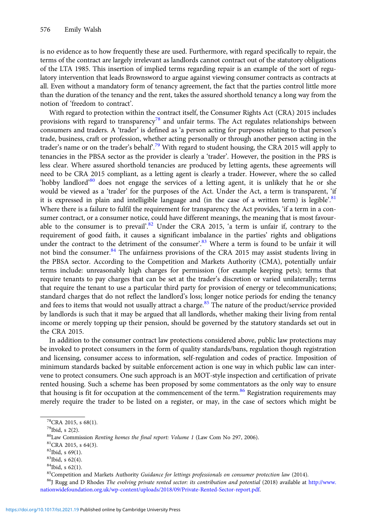is no evidence as to how frequently these are used. Furthermore, with regard specifically to repair, the terms of the contract are largely irrelevant as landlords cannot contract out of the statutory obligations of the LTA 1985. This insertion of implied terms regarding repair is an example of the sort of regulatory intervention that leads Brownsword to argue against viewing consumer contracts as contracts at all. Even without a mandatory form of tenancy agreement, the fact that the parties control little more than the duration of the tenancy and the rent, takes the assured shorthold tenancy a long way from the notion of 'freedom to contract'.

With regard to protection within the contract itself, the Consumer Rights Act (CRA) 2015 includes provisions with regard to transparency<sup>78</sup> and unfair terms. The Act regulates relationships between consumers and traders. A 'trader' is defined as 'a person acting for purposes relating to that person's trade, business, craft or profession, whether acting personally or through another person acting in the trader's name or on the trader's behalf<sup>79</sup> With regard to student housing, the CRA 2015 will apply to tenancies in the PBSA sector as the provider is clearly a 'trader'. However, the position in the PRS is less clear. Where assured shorthold tenancies are produced by letting agents, these agreements will need to be CRA 2015 compliant, as a letting agent is clearly a trader. However, where the so called 'hobby landlord'<sup>80</sup> does not engage the services of a letting agent, it is unlikely that he or she would be viewed as a 'trader' for the purposes of the Act. Under the Act, a term is transparent, 'if it is expressed in plain and intelligible language and (in the case of a written term) is legible<sup>, 81</sup> Where there is a failure to fulfil the requirement for transparency the Act provides, 'if a term in a consumer contract, or a consumer notice, could have different meanings, the meaning that is most favourable to the consumer is to prevail'.<sup>82</sup> Under the CRA 2015, 'a term is unfair if, contrary to the requirement of good faith, it causes a significant imbalance in the parties' rights and obligations under the contract to the detriment of the consumer'.<sup>83</sup> Where a term is found to be unfair it will not bind the consumer. $84$  The unfairness provisions of the CRA 2015 may assist students living in the PBSA sector. According to the Competition and Markets Authority (CMA), potentially unfair terms include: unreasonably high charges for permission (for example keeping pets); terms that require tenants to pay charges that can be set at the trader's discretion or varied unilaterally; terms that require the tenant to use a particular third party for provision of energy or telecommunications; standard charges that do not reflect the landlord's loss; longer notice periods for ending the tenancy and fees to items that would not usually attract a charge.<sup>85</sup> The nature of the product/service provided by landlords is such that it may be argued that all landlords, whether making their living from rental income or merely topping up their pension, should be governed by the statutory standards set out in the CRA 2015.

In addition to the consumer contract law protections considered above, public law protections may be invoked to protect consumers in the form of quality standards/bans, regulation though registration and licensing, consumer access to information, self-regulation and codes of practice. Imposition of minimum standards backed by suitable enforcement action is one way in which public law can intervene to protect consumers. One such approach is an MOT-style inspection and certification of private rented housing. Such a scheme has been proposed by some commentators as the only way to ensure that housing is fit for occupation at the commencement of the term.<sup>86</sup> Registration requirements may merely require the trader to be listed on a register, or may, in the case of sectors which might be

<sup>86</sup>J Rugg and D Rhodes The evolving private rented sector: its contribution and potential (2018) available at [http://www.](http://www.nationwidefoundation.org.uk/wp-content/uploads/2018/09/Private-Rented-Sector-report.pdf) [nationwidefoundation.org.uk/wp-content/uploads/2018/09/Private-Rented-Sector-report.pdf](http://www.nationwidefoundation.org.uk/wp-content/uploads/2018/09/Private-Rented-Sector-report.pdf).

<sup>78</sup>CRA 2015, s 68(1).

<sup>79</sup>Ibid, s 2(2).

 ${}^{80}$ Law Commission *Renting homes the final report: Volume 1* (Law Com No 297, 2006).  ${}^{81}$ CRA 2015, s 64(3).

 ${}^{82}$ Ibid, s 69(1).

<sup>83</sup>Ibid, s 62(4).

 $84$ Ibid, s 62(1).<br> $85$ Competition and Markets Authority Guidance for lettings professionals on consumer protection law (2014).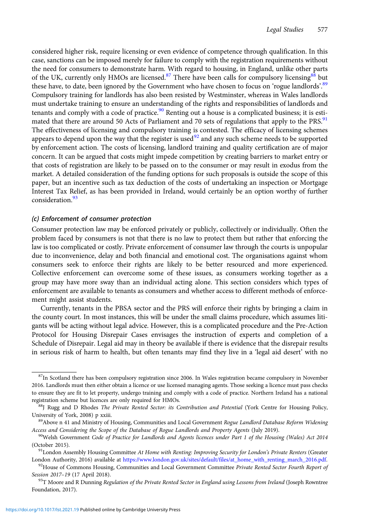considered higher risk, require licensing or even evidence of competence through qualification. In this case, sanctions can be imposed merely for failure to comply with the registration requirements without the need for consumers to demonstrate harm. With regard to housing, in England, unlike other parts of the UK, currently only HMOs are licensed.<sup>87</sup> There have been calls for compulsory licensing  $88$  but these have, to date, been ignored by the Government who have chosen to focus on 'rogue landlords'.<sup>89</sup> Compulsory training for landlords has also been resisted by Westminster, whereas in Wales landlords must undertake training to ensure an understanding of the rights and responsibilities of landlords and tenants and comply with a code of practice.<sup>90</sup> Renting out a house is a complicated business; it is estimated that there are around 50 Acts of Parliament and 70 sets of regulations that apply to the PRS.<sup>91</sup> The effectiveness of licensing and compulsory training is contested. The efficacy of licensing schemes appears to depend upon the way that the register is used<sup>92</sup> and any such scheme needs to be supported by enforcement action. The costs of licensing, landlord training and quality certification are of major concern. It can be argued that costs might impede competition by creating barriers to market entry or that costs of registration are likely to be passed on to the consumer or may result in exodus from the market. A detailed consideration of the funding options for such proposals is outside the scope of this paper, but an incentive such as tax deduction of the costs of undertaking an inspection or Mortgage Interest Tax Relief, as has been provided in Ireland, would certainly be an option worthy of further consideration<sup>93</sup>

## (c) Enforcement of consumer protection

Consumer protection law may be enforced privately or publicly, collectively or individually. Often the problem faced by consumers is not that there is no law to protect them but rather that enforcing the law is too complicated or costly. Private enforcement of consumer law through the courts is unpopular due to inconvenience, delay and both financial and emotional cost. The organisations against whom consumers seek to enforce their rights are likely to be better resourced and more experienced. Collective enforcement can overcome some of these issues, as consumers working together as a group may have more sway than an individual acting alone. This section considers which types of enforcement are available to tenants as consumers and whether access to different methods of enforcement might assist students.

Currently, tenants in the PBSA sector and the PRS will enforce their rights by bringing a claim in the county court. In most instances, this will be under the small claims procedure, which assumes litigants will be acting without legal advice. However, this is a complicated procedure and the Pre-Action Protocol for Housing Disrepair Cases envisages the instruction of experts and completion of a Schedule of Disrepair. Legal aid may in theory be available if there is evidence that the disrepair results in serious risk of harm to health, but often tenants may find they live in a 'legal aid desert' with no

<sup>&</sup>lt;sup>87</sup>In Scotland there has been compulsory registration since 2006. In Wales registration became compulsory in November 2016. Landlords must then either obtain a licence or use licensed managing agents. Those seeking a licence must pass checks to ensure they are fit to let property, undergo training and comply with a code of practice. Northern Ireland has a national registration scheme but licences are only required for HMOs.<br><sup>88</sup>J Rugg and D Rhodes *The Private Rented Sector: its Contribution and Potential* (York Centre for Housing Policy,

University of York, 2008) p xxiii.<br><sup>89</sup>Above n 41 and Ministry of Housing, Communities and Local Government Rogue Landlord Database Reform Widening

Access and Considering the Scope of the Database of Rogue Landlords and Property Agents (July 2019). <sup>90</sup>Welsh Government Code of Practice for Landlords and Agents licences under Part 1 of the Housing (Wales) Act 2014

<sup>(</sup>October 2015).<br><sup>91</sup>London Assembly Housing Committee At Home with Renting: Improving Security for London's Private Renters (Greater London Authority, 2016) available at [https://www.london.gov.uk/sites/default/files/at\\_home\\_with\\_renting\\_march\\_2016.pdf](https://www.london.gov.uk/sites/default/files/at_home_with_renting_march_2016.pdf).<br><sup>92</sup>House of Commons Housing, Communities and Local Government Committee Private Rented Sector Fourth

Session 2017–19 (17 April 2018).<br><sup>93</sup>T Moore and R Dunning *Regulation of the Private Rented Sector in England using Lessons from Ireland (Joseph Rowntree* 

Foundation, 2017).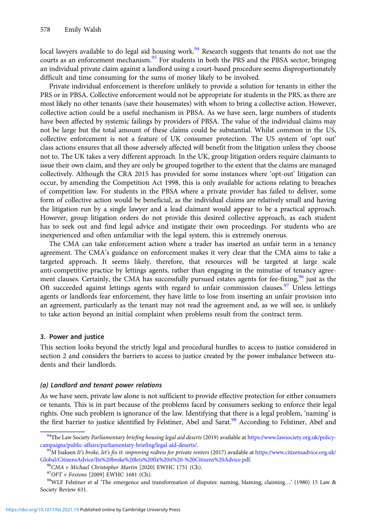local lawyers available to do legal aid housing work.<sup>94</sup> Research suggests that tenants do not use the courts as an enforcement mechanism.<sup>95</sup> For students in both the PRS and the PBSA sector, bringing an individual private claim against a landlord using a court-based procedure seems disproportionately difficult and time consuming for the sums of money likely to be involved.

Private individual enforcement is therefore unlikely to provide a solution for tenants in either the PRS or in PBSA. Collective enforcement would not be appropriate for students in the PRS, as there are most likely no other tenants (save their housemates) with whom to bring a collective action. However, collective action could be a useful mechanism in PBSA. As we have seen, large numbers of students have been affected by systemic failings by providers of PBSA. The value of the individual claims may not be large but the total amount of these claims could be substantial. Whilst common in the US, collective enforcement is not a feature of UK consumer protection. The US system of 'opt out' class actions ensures that all those adversely affected will benefit from the litigation unless they choose not to. The UK takes a very different approach. In the UK, group litigation orders require claimants to issue their own claim, and they are only be grouped together to the extent that the claims are managed collectively. Although the CRA 2015 has provided for some instances where 'opt-out' litigation can occur, by amending the Competition Act 1998, this is only available for actions relating to breaches of competition law. For students in the PBSA where a private provider has failed to deliver, some form of collective action would be beneficial, as the individual claims are relatively small and having the litigation run by a single lawyer and a lead claimant would appear to be a practical approach. However, group litigation orders do not provide this desired collective approach, as each student has to seek out and find legal advice and instigate their own proceedings. For students who are inexperienced and often unfamiliar with the legal system, this is extremely onerous.

The CMA can take enforcement action where a trader has inserted an unfair term in a tenancy agreement. The CMA's guidance on enforcement makes it very clear that the CMA aims to take a targeted approach. It seems likely, therefore, that resources will be targeted at large scale anti-competitive practice by lettings agents, rather than engaging in the minutiae of tenancy agreement clauses. Certainly, the CMA has successfully pursued estates agents for fee-fixing,  $96$  just as the Oft succeeded against lettings agents with regard to unfair commission clauses.<sup>97</sup> Unless lettings agents or landlords fear enforcement, they have little to lose from inserting an unfair provision into an agreement, particularly as the tenant may not read the agreement and, as we will see, is unlikely to take action beyond an initial complaint when problems result from the contract term.

## 3. Power and justice

This section looks beyond the strictly legal and procedural hurdles to access to justice considered in section 2 and considers the barriers to access to justice created by the power imbalance between students and their landlords.

## (a) Landlord and tenant power relations

As we have seen, private law alone is not sufficient to provide effective protection for either consumers or tenants. This is in part because of the problems faced by consumers seeking to enforce their legal rights. One such problem is ignorance of the law. Identifying that there is a legal problem, 'naming' is the first barrier to justice identified by Felstiner, Abel and Sarat.<sup>98</sup> According to Felstiner, Abel and

<sup>94</sup>The Law Society Parliamentary briefing housing legal aid deserts (2019) available at [https://www.lawsociety.org.uk/policy](https://www.lawsociety.org.uk/policy-campaigns/public-affairs/parliamentary-briefing/legal-aid-deserts/)[campaigns/public-affairs/parliamentary-briefing/legal-aid-deserts/.](https://www.lawsociety.org.uk/policy-campaigns/public-affairs/parliamentary-briefing/legal-aid-deserts/)<br><sup>95</sup>M Isaksen It's broke, let's fix it: improving redress for private renters (2017) available at [https://www.citizensadvice.org.uk/](https://www.citizensadvice.org.uk/Global/CitizensAdvice/Its%20broke%20lets%20fix%20it%20-%20Citizens%20Advice.pdf)

[Global/CitizensAdvice/Its%20broke%20lets%20fix%20it%20-%20Citizens%20Advice.pdf](https://www.citizensadvice.org.uk/Global/CitizensAdvice/Its%20broke%20lets%20fix%20it%20-%20Citizens%20Advice.pdf).<br><sup>96</sup>CMA *v* Michael Christopher Martin [2020] EWHC 1751 (Ch).<br><sup>97</sup>OFT *v Foxtons* [2009] EWHC 1681 (Ch).<br><sup>98</sup>WLF Felstiner et al 'The emergen

Society Review 631.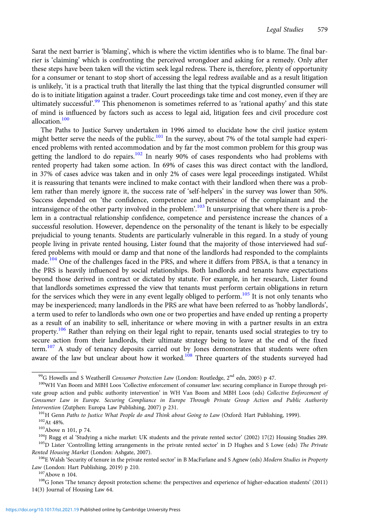Sarat the next barrier is 'blaming', which is where the victim identifies who is to blame. The final barrier is 'claiming' which is confronting the perceived wrongdoer and asking for a remedy. Only after these steps have been taken will the victim seek legal redress. There is, therefore, plenty of opportunity for a consumer or tenant to stop short of accessing the legal redress available and as a result litigation is unlikely, 'it is a practical truth that literally the last thing that the typical disgruntled consumer will do is to initiate litigation against a trader. Court proceedings take time and cost money, even if they are ultimately successful'.<sup>99</sup> This phenomenon is sometimes referred to as 'rational apathy' and this state of mind is influenced by factors such as access to legal aid, litigation fees and civil procedure cost allocation.<sup>100</sup>

The Paths to Justice Survey undertaken in 1996 aimed to elucidate how the civil justice system might better serve the needs of the public.<sup>101</sup> In the survey, about 7% of the total sample had experienced problems with rented accommodation and by far the most common problem for this group was getting the landlord to do repairs.<sup>102</sup> In nearly 90% of cases respondents who had problems with rented property had taken some action. In 69% of cases this was direct contact with the landlord, in 37% of cases advice was taken and in only 2% of cases were legal proceedings instigated. Whilst it is reassuring that tenants were inclined to make contact with their landlord when there was a problem rather than merely ignore it, the success rate of 'self-helpers' in the survey was lower than 50%. Success depended on 'the confidence, competence and persistence of the complainant and the intransigence of the other party involved in the problem'.<sup>103</sup> It unsurprising that where there is a problem in a contractual relationship confidence, competence and persistence increase the chances of a successful resolution. However, dependence on the personality of the tenant is likely to be especially prejudicial to young tenants. Students are particularly vulnerable in this regard. In a study of young people living in private rented housing, Lister found that the majority of those interviewed had suffered problems with mould or damp and that none of the landlords had responded to the complaints made.<sup>104</sup> One of the challenges faced in the PRS, and where it differs from PBSA, is that a tenancy in the PRS is heavily influenced by social relationships. Both landlords and tenants have expectations beyond those derived in contract or dictated by statute. For example, in her research, Lister found that landlords sometimes expressed the view that tenants must perform certain obligations in return for the services which they were in any event legally obliged to perform.<sup>105</sup> It is not only tenants who may be inexperienced; many landlords in the PRS are what have been referred to as 'hobby landlords', a term used to refer to landlords who own one or two properties and have ended up renting a property as a result of an inability to sell, inheritance or where moving in with a partner results in an extra property.<sup>106</sup> Rather than relying on their legal right to repair, tenants used social strategies to try to secure action from their landlords, their ultimate strategy being to leave at the end of the fixed term.<sup>107</sup> A study of tenancy deposits carried out by Jones demonstrates that students were often aware of the law but unclear about how it worked.<sup>108</sup> Three quarters of the students surveyed had

Law (London: Hart Publishing, 2019) p 210.<br><sup>107</sup>Above n 104. <sup>107</sup>Above n 104.<br><sup>108</sup>G Jones 'The tenancy deposit protection scheme: the perspectives and experience of higher-education students' (2011) 14(3) Journal of Housing Law 64.

<sup>&</sup>lt;sup>99</sup>G Howells and S Weatherill *Consumer Protection Law* (London: Routledge, 2<sup>nd</sup> edn, 2005) p 47. <sup>100</sup>WH Van Boom and MBH Loos 'Collective enforcement of consumer law: securing compliance in Europe through private group action and public authority intervention' in WH Van Boom and MBH Loos (eds) Collective Enforcement of Consumer Law in Europe. Securing Compliance in Europe Through Private Group Action and Public Authority Intervention (Zutphen: Europa Law Publishing, 2007) p 231.<br><sup>101</sup>H Genn *Paths to Justice What People do and Think about Going to Law* (Oxford: Hart Publishing, 1999).<br><sup>102</sup>At 48%.<br><sup>103</sup>Above n 101, p 74.<br><sup>104</sup>J Rugg et al

Rented Housing Market (London: Ashgate, 2007).<br><sup>106</sup>E Walsh 'Security of tenure in the private rented sector' in B MacFarlane and S Agnew (eds) Modern Studies in Property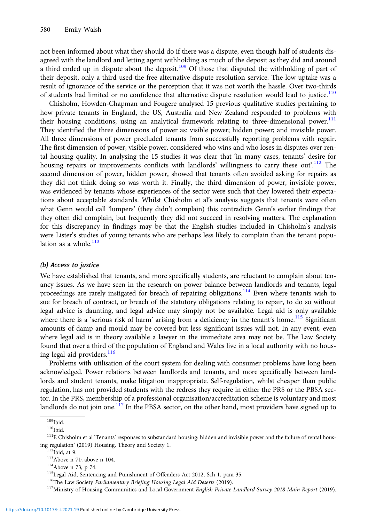not been informed about what they should do if there was a dispute, even though half of students disagreed with the landlord and letting agent withholding as much of the deposit as they did and around a third ended up in dispute about the deposit.<sup>109</sup> Of those that disputed the withholding of part of their deposit, only a third used the free alternative dispute resolution service. The low uptake was a result of ignorance of the service or the perception that it was not worth the hassle. Over two-thirds of students had limited or no confidence that alternative dispute resolution would lead to justice.<sup>110</sup>

Chisholm, Howden-Chapman and Fougere analysed 15 previous qualitative studies pertaining to how private tenants in England, the US, Australia and New Zealand responded to problems with their housing conditions, using an analytical framework relating to three-dimensional power.<sup>111</sup> They identified the three dimensions of power as: visible power; hidden power; and invisible power. All three dimensions of power precluded tenants from successfully reporting problems with repair. The first dimension of power, visible power, considered who wins and who loses in disputes over rental housing quality. In analysing the 15 studies it was clear that 'in many cases, tenants' desire for housing repairs or improvements conflicts with landlords' willingness to carry these out'.<sup>112</sup> The second dimension of power, hidden power, showed that tenants often avoided asking for repairs as they did not think doing so was worth it. Finally, the third dimension of power, invisible power, was evidenced by tenants whose experiences of the sector were such that they lowered their expectations about acceptable standards. Whilst Chisholm et al's analysis suggests that tenants were often what Genn would call 'lumpers' (they didn't complain) this contradicts Genn's earlier findings that they often did complain, but frequently they did not succeed in resolving matters. The explanation for this discrepancy in findings may be that the English studies included in Chisholm's analysis were Lister's studies of young tenants who are perhaps less likely to complain than the tenant population as a whole. $113$ 

### (b) Access to justice

We have established that tenants, and more specifically students, are reluctant to complain about tenancy issues. As we have seen in the research on power balance between landlords and tenants, legal proceedings are rarely instigated for breach of repairing obligations.<sup>114</sup> Even where tenants wish to sue for breach of contract, or breach of the statutory obligations relating to repair, to do so without legal advice is daunting, and legal advice may simply not be available. Legal aid is only available where there is a 'serious risk of harm' arising from a deficiency in the tenant's home.<sup>115</sup> Significant amounts of damp and mould may be covered but less significant issues will not. In any event, even where legal aid is in theory available a lawyer in the immediate area may not be. The Law Society found that over a third of the population of England and Wales live in a local authority with no housing legal aid providers.<sup>116</sup>

Problems with utilisation of the court system for dealing with consumer problems have long been acknowledged. Power relations between landlords and tenants, and more specifically between landlords and student tenants, make litigation inappropriate. Self-regulation, whilst cheaper than public regulation, has not provided students with the redress they require in either the PRS or the PBSA sector. In the PRS, membership of a professional organisation/accreditation scheme is voluntary and most landlords do not join one.<sup>117</sup> In the PBSA sector, on the other hand, most providers have signed up to

 $^{109}$ Ibid.<br><sup>110</sup>Ibid.<br><sup>111</sup>E Chisholm et al 'Tenants' responses to substandard housing: hidden and invisible power and the failure of rental hous-

ing regulation' (2019) Housing, Theory and Society 1.<br>
<sup>112</sup>Ibid, at 9.<br>
<sup>113</sup>Above n 71; above n 104.<br>
<sup>114</sup>Above n 73, p 74.<br>
<sup>114</sup>Above n 73, p 74.<br>
<sup>115</sup>Legal Aid, Sentencing and Punishment of Offenders Act 2012, Sch 1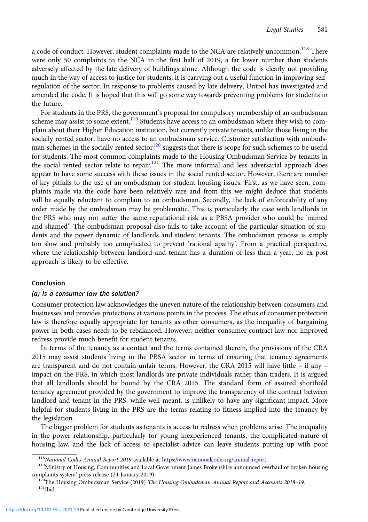a code of conduct. However, student complaints made to the NCA are relatively uncommon.<sup>118</sup> There were only 50 complaints to the NCA in the first half of 2019, a far lower number than students adversely affected by the late delivery of buildings alone. Although the code is clearly not providing much in the way of access to justice for students, it is carrying out a useful function in improving selfregulation of the sector. In response to problems caused by late delivery, Unipol has investigated and amended the code. It is hoped that this will go some way towards preventing problems for students in the future.

For students in the PRS, the government's proposal for compulsory membership of an ombudsman scheme may assist to some extent.<sup>119</sup> Students have access to an ombudsman where they wish to complain about their Higher Education institution, but currently private tenants, unlike those living in the socially rented sector, have no access to an ombudsman service. Customer satisfaction with ombudsman schemes in the socially rented sector<sup>120</sup> suggests that there is scope for such schemes to be useful for students. The most common complaints made to the Housing Ombudsman Service by tenants in the social rented sector relate to repair.<sup>121</sup> The more informal and less adversarial approach does appear to have some success with these issues in the social rented sector. However, there are number of key pitfalls to the use of an ombudsman for student housing issues. First, as we have seen, complaints made via the code have been relatively rare and from this we might deduce that students will be equally reluctant to complain to an ombudsman. Secondly, the lack of enforceability of any order made by the ombudsman may be problematic. This is particularly the case with landlords in the PRS who may not suffer the same reputational risk as a PBSA provider who could be 'named and shamed'. The ombudsman proposal also fails to take account of the particular situation of students and the power dynamic of landlords and student tenants. The ombudsman process is simply too slow and probably too complicated to prevent 'rational apathy'. From a practical perspective, where the relationship between landlord and tenant has a duration of less than a year, no ex post approach is likely to be effective.

## Conclusion

#### (a) Is a consumer law the solution?

Consumer protection law acknowledges the uneven nature of the relationship between consumers and businesses and provides protections at various points in the process. The ethos of consumer protection law is therefore equally appropriate for tenants as other consumers, as the inequality of bargaining power in both cases needs to be rebalanced. However, neither consumer contract law nor improved redress provide much benefit for student tenants.

In terms of the tenancy as a contact and the terms contained therein, the provisions of the CRA 2015 may assist students living in the PBSA sector in terms of ensuring that tenancy agreements are transparent and do not contain unfair terms. However, the CRA 2015 will have little – if any – impact on the PRS, in which most landlords are private individuals rather than traders. It is argued that all landlords should be bound by the CRA 2015. The standard form of assured shorthold tenancy agreement provided by the government to improve the transparency of the contract between landlord and tenant in the PRS, while well-meant, is unlikely to have any significant impact. More helpful for students living in the PRS are the terms relating to fitness implied into the tenancy by the legislation.

The bigger problem for students as tenants is access to redress when problems arise. The inequality in the power relationship, particularly for young inexperienced tenants, the complicated nature of housing law, and the lack of access to specialist advice can leave students putting up with poor

<sup>&</sup>lt;sup>118</sup>National Codes Annual Report 2019 available at [https://www.nationalcode.org/annual-report.](https://www.nationalcode.org/annual-report)<br><sup>119</sup>Ministry of Housing, Communities and Local Government James Brokenshire announced overhaul of broken housing

complaints system' press release (24 January 2019).<br><sup>120</sup>The Housing Ombudsman Service (2019) *The Housing Ombudsman Annual Report and Accounts 2018–19*.<br><sup>121</sup>Thid.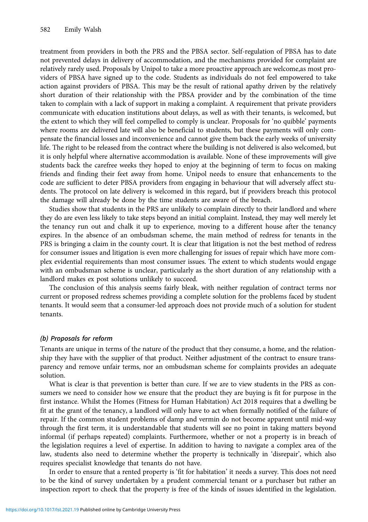treatment from providers in both the PRS and the PBSA sector. Self-regulation of PBSA has to date not prevented delays in delivery of accommodation, and the mechanisms provided for complaint are relatively rarely used. Proposals by Unipol to take a more proactive approach are welcome,as most providers of PBSA have signed up to the code. Students as individuals do not feel empowered to take action against providers of PBSA. This may be the result of rational apathy driven by the relatively short duration of their relationship with the PBSA provider and by the combination of the time taken to complain with a lack of support in making a complaint. A requirement that private providers communicate with education institutions about delays, as well as with their tenants, is welcomed, but the extent to which they will feel compelled to comply is unclear. Proposals for 'no quibble' payments where rooms are delivered late will also be beneficial to students, but these payments will only compensate the financial losses and inconvenience and cannot give them back the early weeks of university life. The right to be released from the contract where the building is not delivered is also welcomed, but it is only helpful where alternative accommodation is available. None of these improvements will give students back the carefree weeks they hoped to enjoy at the beginning of term to focus on making friends and finding their feet away from home. Unipol needs to ensure that enhancements to the code are sufficient to deter PBSA providers from engaging in behaviour that will adversely affect students. The protocol on late delivery is welcomed in this regard, but if providers breach this protocol the damage will already be done by the time students are aware of the breach.

Studies show that students in the PRS are unlikely to complain directly to their landlord and where they do are even less likely to take steps beyond an initial complaint. Instead, they may well merely let the tenancy run out and chalk it up to experience, moving to a different house after the tenancy expires. In the absence of an ombudsman scheme, the main method of redress for tenants in the PRS is bringing a claim in the county court. It is clear that litigation is not the best method of redress for consumer issues and litigation is even more challenging for issues of repair which have more complex evidential requirements than most consumer issues. The extent to which students would engage with an ombudsman scheme is unclear, particularly as the short duration of any relationship with a landlord makes ex post solutions unlikely to succeed.

The conclusion of this analysis seems fairly bleak, with neither regulation of contract terms nor current or proposed redress schemes providing a complete solution for the problems faced by student tenants. It would seem that a consumer-led approach does not provide much of a solution for student tenants.

#### (b) Proposals for reform

Tenants are unique in terms of the nature of the product that they consume, a home, and the relationship they have with the supplier of that product. Neither adjustment of the contract to ensure transparency and remove unfair terms, nor an ombudsman scheme for complaints provides an adequate solution.

What is clear is that prevention is better than cure. If we are to view students in the PRS as consumers we need to consider how we ensure that the product they are buying is fit for purpose in the first instance. Whilst the Homes (Fitness for Human Habitation) Act 2018 requires that a dwelling be fit at the grant of the tenancy, a landlord will only have to act when formally notified of the failure of repair. If the common student problems of damp and vermin do not become apparent until mid-way through the first term, it is understandable that students will see no point in taking matters beyond informal (if perhaps repeated) complaints. Furthermore, whether or not a property is in breach of the legislation requires a level of expertise. In addition to having to navigate a complex area of the law, students also need to determine whether the property is technically in 'disrepair', which also requires specialist knowledge that tenants do not have.

In order to ensure that a rented property is 'fit for habitation' it needs a survey. This does not need to be the kind of survey undertaken by a prudent commercial tenant or a purchaser but rather an inspection report to check that the property is free of the kinds of issues identified in the legislation.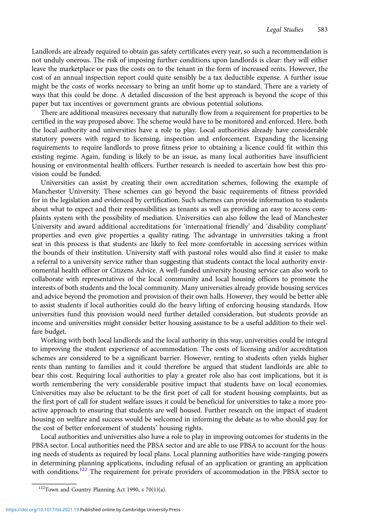Landlords are already required to obtain gas safety certificates every year, so such a recommendation is not unduly onerous. The risk of imposing further conditions upon landlords is clear: they will either leave the marketplace or pass the costs on to the tenant in the form of increased rents. However, the cost of an annual inspection report could quite sensibly be a tax deductible expense. A further issue might be the costs of works necessary to bring an unfit home up to standard. There are a variety of ways that this could be done. A detailed discussion of the best approach is beyond the scope of this paper but tax incentives or government grants are obvious potential solutions.

There are additional measures necessary that naturally flow from a requirement for properties to be certified in the way proposed above. The scheme would have to be monitored and enforced. Here, both the local authority and universities have a role to play. Local authorities already have considerable statutory powers with regard to licensing, inspection and enforcement. Expanding the licensing requirements to require landlords to prove fitness prior to obtaining a licence could fit within this existing regime. Again, funding is likely to be an issue, as many local authorities have insufficient housing or environmental health officers. Further research is needed to ascertain how best this provision could be funded.

Universities can assist by creating their own accreditation schemes, following the example of Manchester University. These schemes can go beyond the basic requirements of fitness provided for in the legislation and evidenced by certification. Such schemes can provide information to students about what to expect and their responsibilities as tenants as well as providing an easy to access complaints system with the possibility of mediation. Universities can also follow the lead of Manchester University and award additional accreditations for 'international friendly' and 'disability compliant' properties and even give properties a quality rating. The advantage in universities taking a front seat in this process is that students are likely to feel more comfortable in accessing services within the bounds of their institution. University staff with pastoral roles would also find it easier to make a referral to a university service rather than suggesting that students contact the local authority environmental health officer or Citizens Advice. A well-funded university housing service can also work to collaborate with representatives of the local community and local housing officers to promote the interests of both students and the local community. Many universities already provide housing services and advice beyond the promotion and provision of their own halls. However, they would be better able to assist students if local authorities could do the heavy lifting of enforcing housing standards. How universities fund this provision would need further detailed consideration, but students provide an income and universities might consider better housing assistance to be a useful addition to their welfare budget.

Working with both local landlords and the local authority in this way, universities could be integral to improving the student experience of accommodation. The costs of licensing and/or accreditation schemes are considered to be a significant barrier. However, renting to students often yields higher rents than ranting to families and it could therefore be argued that student landlords are able to bear this cost. Requiring local authorities to play a greater role also has cost implications, but it is worth remembering the very considerable positive impact that students have on local economies. Universities may also be reluctant to be the first port of call for student housing complaints, but as the first port of call for student welfare issues it could be beneficial for universities to take a more proactive approach to ensuring that students are well housed. Further research on the impact of student housing on welfare and success would be welcomed in informing the debate as to who should pay for the cost of better enforcement of students' housing rights.

Local authorities and universities also have a role to play in improving outcomes for students in the PBSA sector. Local authorities need the PBSA sector and are able to use PBSA to account for the housing needs of students as required by local plans. Local planning authorities have wide-ranging powers in determining planning applications, including refusal of an application or granting an application with conditions.<sup>122</sup> The requirement for private providers of accommodation in the PBSA sector to

 $122$ Town and Country Planning Act 1990, s 70(1)(a).